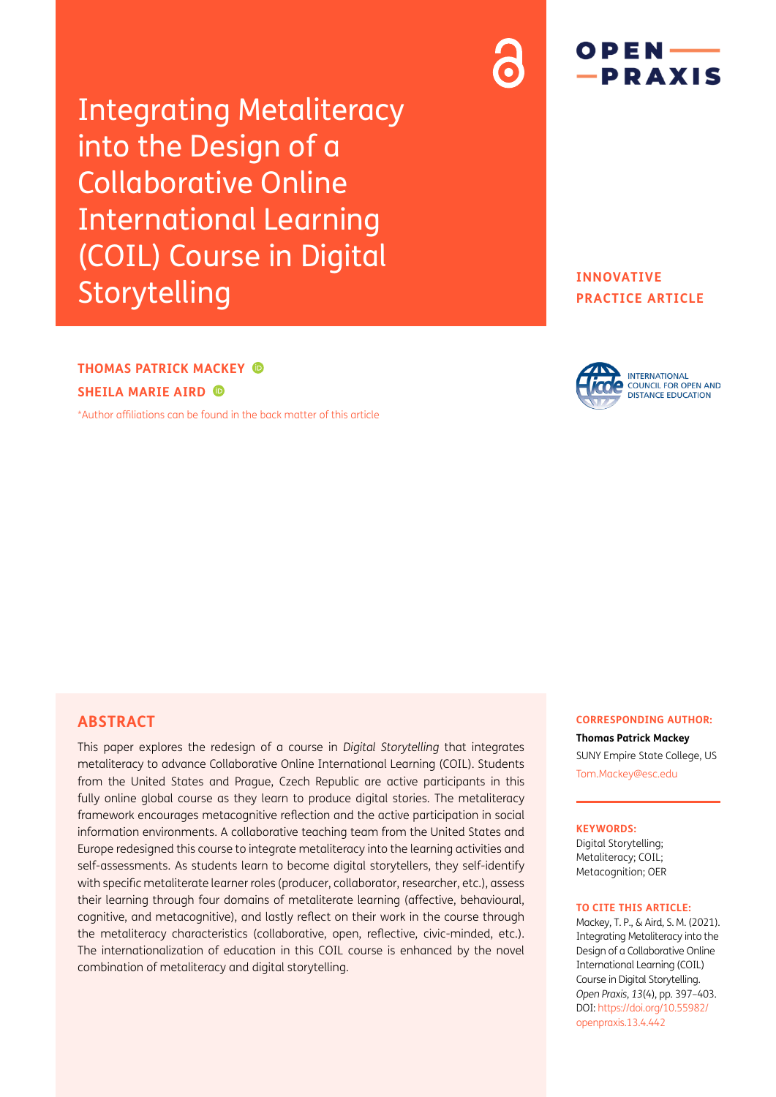Integrating Metaliteracy into the Design of a Collaborative Online International Learning (COIL) Course in Digital Storytelling

# $OPEN$  — -PRAXIS

## **INNOVATIVE PRACTICE ARTICLE**

## **THOMAS PATRICK MACKEY SHEILA MARIE AIRD**

[\\*Author affiliations can be found in the back matter of this article](#page-6-0)



## **ABSTRACT**

This paper explores the redesign of a course in *Digital Storytelling* that integrates metaliteracy to advance Collaborative Online International Learning (COIL). Students from the United States and Prague, Czech Republic are active participants in this fully online global course as they learn to produce digital stories. The metaliteracy framework encourages metacognitive reflection and the active participation in social information environments. A collaborative teaching team from the United States and Europe redesigned this course to integrate metaliteracy into the learning activities and self-assessments. As students learn to become digital storytellers, they self-identify with specific metaliterate learner roles (producer, collaborator, researcher, etc.), assess their learning through four domains of metaliterate learning (affective, behavioural, cognitive, and metacognitive), and lastly reflect on their work in the course through the metaliteracy characteristics (collaborative, open, reflective, civic-minded, etc.). The internationalization of education in this COIL course is enhanced by the novel combination of metaliteracy and digital storytelling.

#### **CORRESPONDING AUTHOR: Thomas Patrick Mackey**

SUNY Empire State College, US [Tom.Mackey@esc.edu](mailto:Tom.Mackey@esc.edu)

#### **KEYWORDS:**

Digital Storytelling; Metaliteracy; COIL; Metacognition; OER

#### **TO CITE THIS ARTICLE:**

Mackey, T. P., & Aird, S. M. (2021). Integrating Metaliteracy into the Design of a Collaborative Online International Learning (COIL) Course in Digital Storytelling. *Open Praxis*, *13*(4), pp. 397–403. DOI: [https://doi.org/](https://doi.org/10.51944/openpraxis.13.4.442)10.55982/ [openpraxis.13.4.442](https://doi.org/10.51944/openpraxis.13.4.442)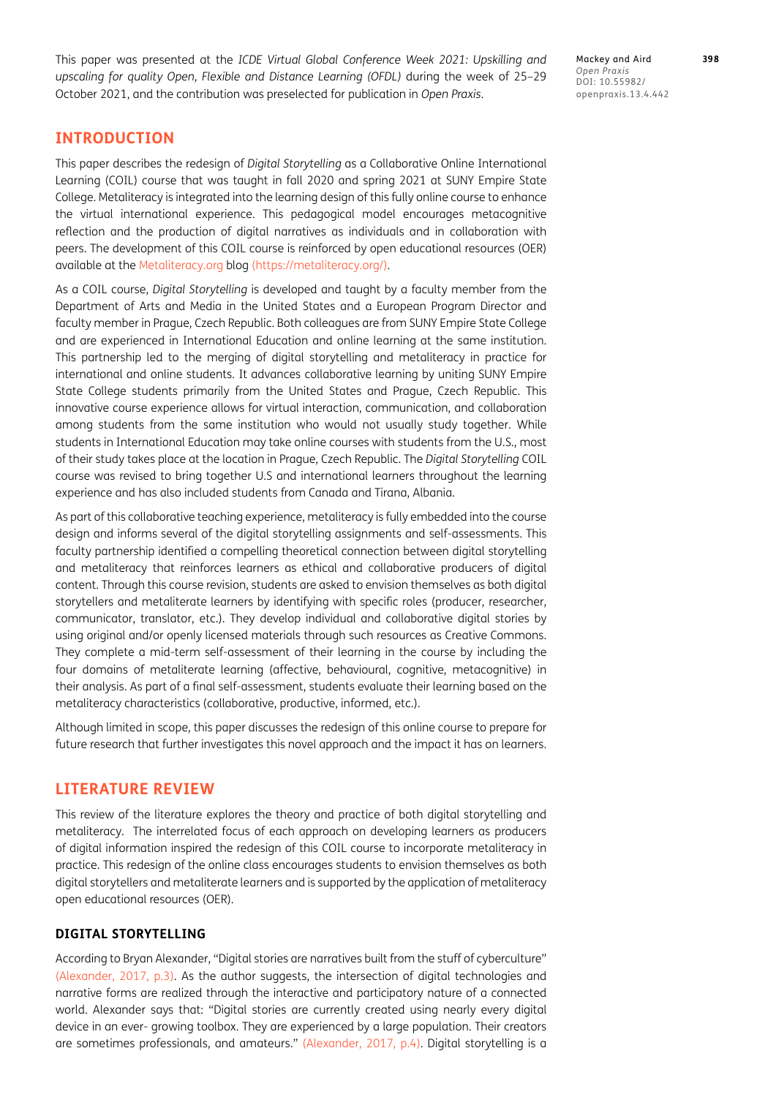This paper was presented at the *ICDE Virtual Global Conference Week 2021: Upskilling and upscaling for quality Open, Flexible and Distance Learning (OFDL)* during the week of 25–29 October 2021, and the contribution was preselected for publication in *Open Praxis*.

Mackey and Aird **398** *Open Praxis* DOI: 10.55982/ openpraxis.13.4.442

## **INTRODUCTION**

This paper describes the redesign of *Digital Storytelling* as a Collaborative Online International Learning (COIL) course that was taught in fall 2020 and spring 2021 at SUNY Empire State College. Metaliteracy is integrated into the learning design of this fully online course to enhance the virtual international experience. This pedagogical model encourages metacognitive reflection and the production of digital narratives as individuals and in collaboration with peers. The development of this COIL course is reinforced by open educational resources (OER) available at the [Metaliteracy.org](http://Metaliteracy.org) blog [\(https://metaliteracy.org/](https://metaliteracy.org/)).

As a COIL course, *Digital Storytelling* is developed and taught by a faculty member from the Department of Arts and Media in the United States and a European Program Director and faculty member in Prague, Czech Republic. Both colleagues are from SUNY Empire State College and are experienced in International Education and online learning at the same institution. This partnership led to the merging of digital storytelling and metaliteracy in practice for international and online students. It advances collaborative learning by uniting SUNY Empire State College students primarily from the United States and Prague, Czech Republic. This innovative course experience allows for virtual interaction, communication, and collaboration among students from the same institution who would not usually study together. While students in International Education may take online courses with students from the U.S., most of their study takes place at the location in Prague, Czech Republic. The *Digital Storytelling* COIL course was revised to bring together U.S and international learners throughout the learning experience and has also included students from Canada and Tirana, Albania.

As part of this collaborative teaching experience, metaliteracy is fully embedded into the course design and informs several of the digital storytelling assignments and self-assessments. This faculty partnership identified a compelling theoretical connection between digital storytelling and metaliteracy that reinforces learners as ethical and collaborative producers of digital content. Through this course revision, students are asked to envision themselves as both digital storytellers and metaliterate learners by identifying with specific roles (producer, researcher, communicator, translator, etc.). They develop individual and collaborative digital stories by using original and/or openly licensed materials through such resources as Creative Commons. They complete a mid-term self-assessment of their learning in the course by including the four domains of metaliterate learning (affective, behavioural, cognitive, metacognitive) in their analysis. As part of a final self-assessment, students evaluate their learning based on the metaliteracy characteristics (collaborative, productive, informed, etc.).

Although limited in scope, this paper discusses the redesign of this online course to prepare for future research that further investigates this novel approach and the impact it has on learners.

## **LITERATURE REVIEW**

This review of the literature explores the theory and practice of both digital storytelling and metaliteracy. The interrelated focus of each approach on developing learners as producers of digital information inspired the redesign of this COIL course to incorporate metaliteracy in practice. This redesign of the online class encourages students to envision themselves as both digital storytellers and metaliterate learners and is supported by the application of metaliteracy open educational resources (OER).

### **DIGITAL STORYTELLING**

According to Bryan Alexander, "Digital stories are narratives built from the stuff of cyberculture" [\(Alexander, 2017, p.3\)](#page-6-1). As the author suggests, the intersection of digital technologies and narrative forms are realized through the interactive and participatory nature of a connected world. Alexander says that: "Digital stories are currently created using nearly every digital device in an ever- growing toolbox. They are experienced by a large population. Their creators are sometimes professionals, and amateurs." [\(Alexander, 2017, p.4\)](#page-6-1). Digital storytelling is a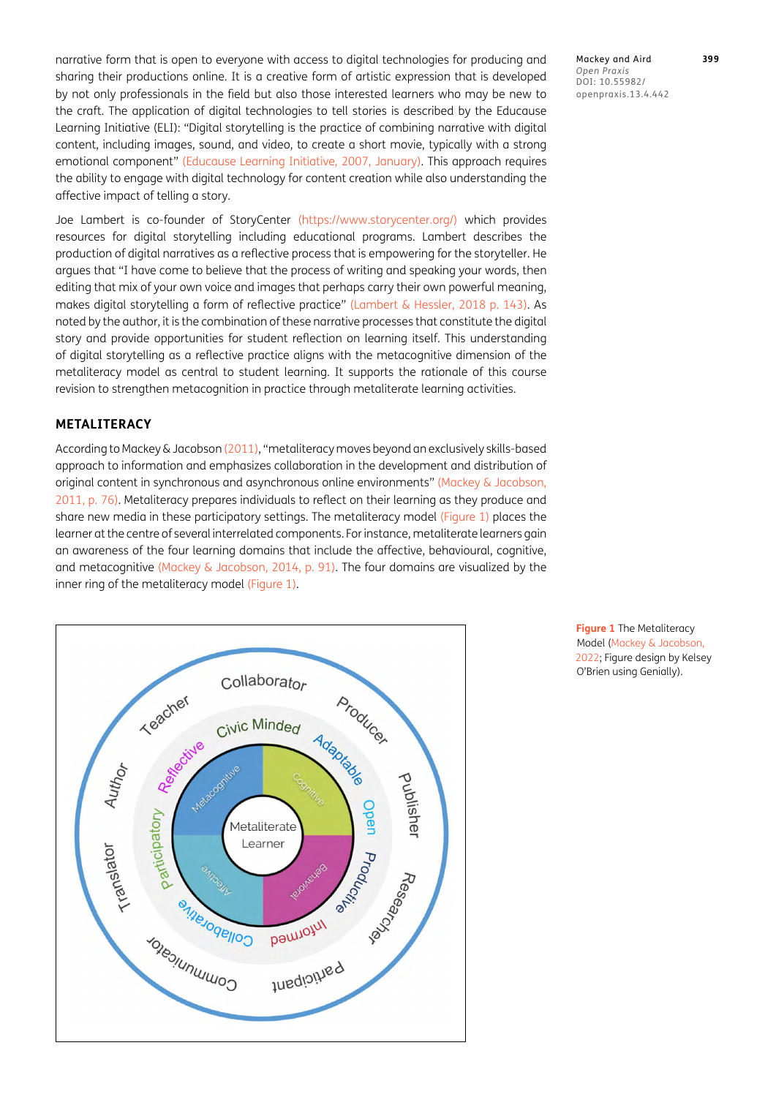narrative form that is open to everyone with access to digital technologies for producing and sharing their productions online. It is a creative form of artistic expression that is developed by not only professionals in the field but also those interested learners who may be new to the craft. The application of digital technologies to tell stories is described by the Educause Learning Initiative (ELI): "Digital storytelling is the practice of combining narrative with digital content, including images, sound, and video, to create a short movie, typically with a strong emotional component" ([Educause Learning Initiative, 2007, January](#page-6-2)). This approach requires the ability to engage with digital technology for content creation while also understanding the affective impact of telling a story.

Joe Lambert is co-founder of StoryCenter (<https://www.storycenter.org/>) which provides resources for digital storytelling including educational programs. Lambert describes the production of digital narratives as a reflective process that is empowering for the storyteller. He argues that "I have come to believe that the process of writing and speaking your words, then editing that mix of your own voice and images that perhaps carry their own powerful meaning, makes digital storytelling a form of reflective practice" ([Lambert & Hessler, 2018](#page-6-3) p. 143). As noted by the author, it is the combination of these narrative processes that constitute the digital story and provide opportunities for student reflection on learning itself. This understanding of digital storytelling as a reflective practice aligns with the metacognitive dimension of the metaliteracy model as central to student learning. It supports the rationale of this course revision to strengthen metacognition in practice through metaliterate learning activities.

### **METALITERACY**

According to Mackey & Jacobson ([2011](#page-6-4)), "metaliteracy moves beyond an exclusively skills-based approach to information and emphasizes collaboration in the development and distribution of original content in synchronous and asynchronous online environments" ([Mackey & Jacobson,](#page-6-4)  [2011](#page-6-4), p. 76). Metaliteracy prepares individuals to reflect on their learning as they produce and share new media in these participatory settings. The metaliteracy model ([Figure 1\)](#page-2-0) places the learner at the centre of several interrelated components. For instance, metaliterate learners gain an awareness of the four learning domains that include the affective, behavioural, cognitive, and metacognitive [\(Mackey & Jacobson, 2014, p. 91](#page-6-5)). The four domains are visualized by the inner ring of the metaliteracy model ([Figure 1](#page-2-0)).



Mackey and Aird **399** *Open Praxis* DOI: 10.55982/ openpraxis.13.4.442

<span id="page-2-0"></span>**Figure 1** The Metaliteracy Model [\(Mackey & Jacobson,](#page-6-6)  [2022](#page-6-6); Figure design by Kelsey O'Brien using Genially).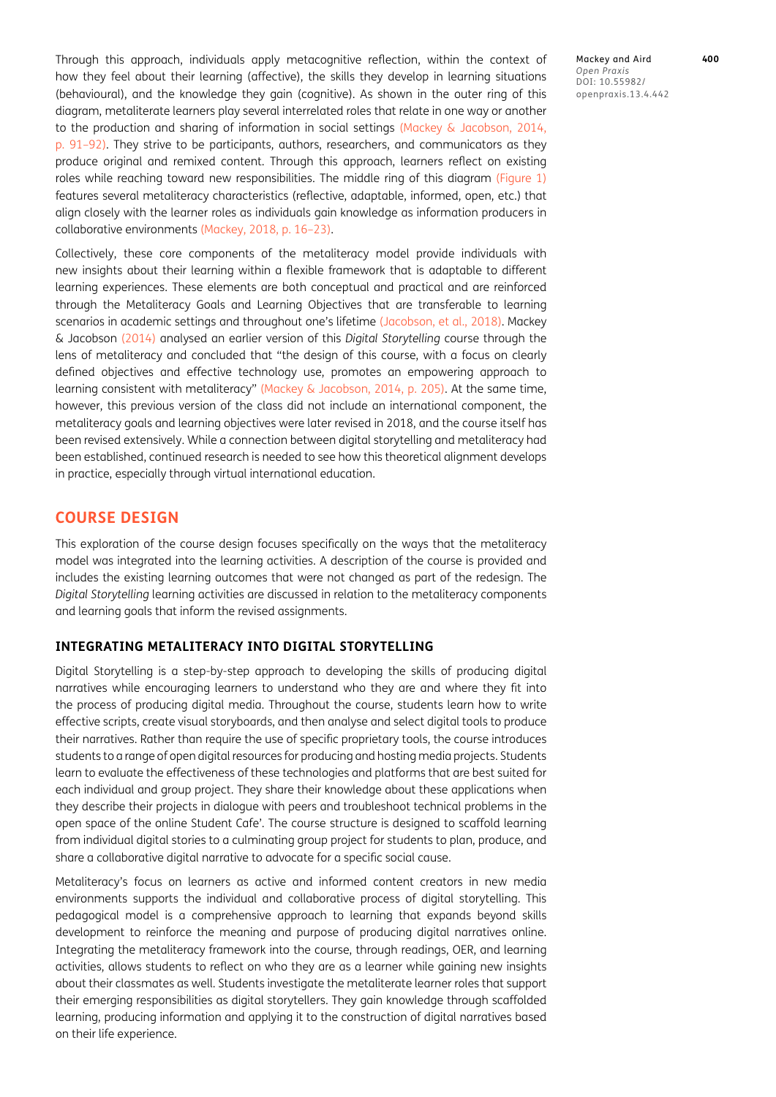Through this approach, individuals apply metacognitive reflection, within the context of how they feel about their learning (affective), the skills they develop in learning situations (behavioural), and the knowledge they gain (cognitive). As shown in the outer ring of this diagram, metaliterate learners play several interrelated roles that relate in one way or another to the production and sharing of information in social settings ([Mackey & Jacobson, 2014,](#page-6-5)  [p. 91–92](#page-6-5)). They strive to be participants, authors, researchers, and communicators as they produce original and remixed content. Through this approach, learners reflect on existing roles while reaching toward new responsibilities. The middle ring of this diagram ([Figure 1\)](#page-2-0) features several metaliteracy characteristics (reflective, adaptable, informed, open, etc.) that align closely with the learner roles as individuals gain knowledge as information producers in collaborative environments ([Mackey, 2018, p. 16–23\)](#page-6-7).

Collectively, these core components of the metaliteracy model provide individuals with new insights about their learning within a flexible framework that is adaptable to different learning experiences. These elements are both conceptual and practical and are reinforced through the Metaliteracy Goals and Learning Objectives that are transferable to learning scenarios in academic settings and throughout one's lifetime (Jacobson, et al., 2018). Mackey & Jacobson [\(2014\)](#page-6-5) analysed an earlier version of this *Digital Storytelling* course through the lens of metaliteracy and concluded that "the design of this course, with a focus on clearly defined objectives and effective technology use, promotes an empowering approach to learning consistent with metaliteracy" ([Mackey & Jacobson, 2014, p. 205](#page-6-5)). At the same time, however, this previous version of the class did not include an international component, the metaliteracy goals and learning objectives were later revised in 2018, and the course itself has been revised extensively. While a connection between digital storytelling and metaliteracy had been established, continued research is needed to see how this theoretical alignment develops in practice, especially through virtual international education.

## **COURSE DESIGN**

This exploration of the course design focuses specifically on the ways that the metaliteracy model was integrated into the learning activities. A description of the course is provided and includes the existing learning outcomes that were not changed as part of the redesign. The *Digital Storytelling* learning activities are discussed in relation to the metaliteracy components and learning goals that inform the revised assignments.

#### **INTEGRATING METALITERACY INTO DIGITAL STORYTELLING**

Digital Storytelling is a step-by-step approach to developing the skills of producing digital narratives while encouraging learners to understand who they are and where they fit into the process of producing digital media. Throughout the course, students learn how to write effective scripts, create visual storyboards, and then analyse and select digital tools to produce their narratives. Rather than require the use of specific proprietary tools, the course introduces students to a range of open digital resources for producing and hosting media projects. Students learn to evaluate the effectiveness of these technologies and platforms that are best suited for each individual and group project. They share their knowledge about these applications when they describe their projects in dialogue with peers and troubleshoot technical problems in the open space of the online Student Cafe'. The course structure is designed to scaffold learning from individual digital stories to a culminating group project for students to plan, produce, and share a collaborative digital narrative to advocate for a specific social cause.

Metaliteracy's focus on learners as active and informed content creators in new media environments supports the individual and collaborative process of digital storytelling. This pedagogical model is a comprehensive approach to learning that expands beyond skills development to reinforce the meaning and purpose of producing digital narratives online. Integrating the metaliteracy framework into the course, through readings, OER, and learning activities, allows students to reflect on who they are as a learner while gaining new insights about their classmates as well. Students investigate the metaliterate learner roles that support their emerging responsibilities as digital storytellers. They gain knowledge through scaffolded learning, producing information and applying it to the construction of digital narratives based on their life experience.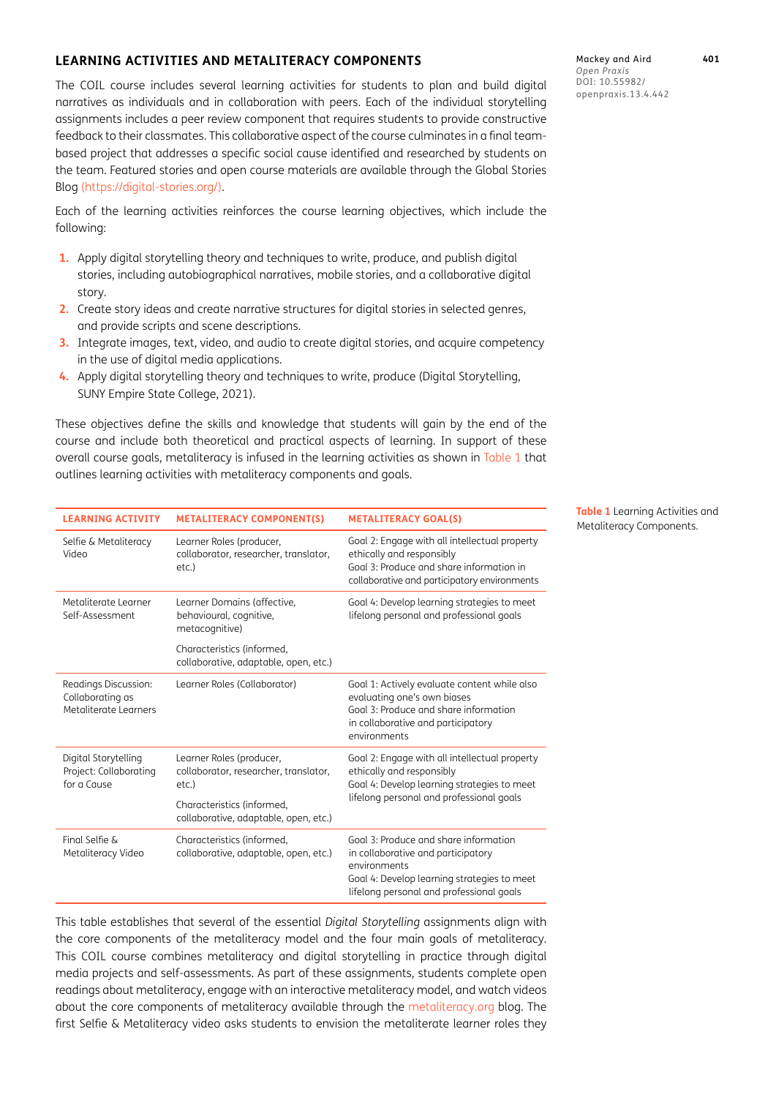## **LEARNING ACTIVITIES AND METALITERACY COMPONENTS**

The COIL course includes several learning activities for students to plan and build digital narratives as individuals and in collaboration with peers. Each of the individual storytelling assignments includes a peer review component that requires students to provide constructive feedback to their classmates. This collaborative aspect of the course culminates in a final teambased project that addresses a specific social cause identified and researched by students on the team. Featured stories and open course materials are available through the Global Stories Blog [\(https://digital-stories.org/](https://digital-stories.org/)).

Each of the learning activities reinforces the course learning objectives, which include the following:

- **1.** Apply digital storytelling theory and techniques to write, produce, and publish digital stories, including autobiographical narratives, mobile stories, and a collaborative digital story.
- **2.** Create story ideas and create narrative structures for digital stories in selected genres, and provide scripts and scene descriptions.
- **3.** Integrate images, text, video, and audio to create digital stories, and acquire competency in the use of digital media applications.
- **4.** Apply digital storytelling theory and techniques to write, produce (Digital Storytelling, SUNY Empire State College, 2021).

These objectives define the skills and knowledge that students will gain by the end of the course and include both theoretical and practical aspects of learning. In support of these overall course goals, metaliteracy is infused in the learning activities as shown in [Table 1](#page-4-0) that outlines learning activities with metaliteracy components and goals.

| <b>LEARNING ACTIVITY</b>                                          | <b>METALITERACY COMPONENT(S)</b>                                              | <b>METALITERACY GOAL(S)</b>                                                                                                                                                            |
|-------------------------------------------------------------------|-------------------------------------------------------------------------------|----------------------------------------------------------------------------------------------------------------------------------------------------------------------------------------|
| Selfie & Metaliteracy<br>Video                                    | Learner Roles (producer,<br>collaborator, researcher, translator,<br>etc.)    | Goal 2: Engage with all intellectual property<br>ethically and responsibly<br>Goal 3: Produce and share information in<br>collaborative and participatory environments                 |
| Metaliterate Learner<br>Self-Assessment                           | Learner Domains (affective,<br>behavioural, cognitive,<br>metacognitive)      | Goal 4: Develop learning strategies to meet<br>lifelong personal and professional goals                                                                                                |
|                                                                   | Characteristics (informed,<br>collaborative, adaptable, open, etc.)           |                                                                                                                                                                                        |
| Readings Discussion:<br>Collaborating as<br>Metaliterate Learners | Learner Roles (Collaborator)                                                  | Goal 1: Actively evaluate content while also<br>evaluating one's own biases<br>Goal 3: Produce and share information<br>in collaborative and participatory<br>environments             |
| Digital Storytelling<br>Project: Collaborating<br>for a Cause     | Learner Roles (producer,<br>collaborator, researcher, translator,<br>$etc.$ ) | Goal 2: Engage with all intellectual property<br>ethically and responsibly<br>Goal 4: Develop learning strategies to meet<br>lifelong personal and professional goals                  |
|                                                                   | Characteristics (informed,<br>collaborative, adaptable, open, etc.)           |                                                                                                                                                                                        |
| Final Selfie &<br>Metaliteracy Video                              | Characteristics (informed,<br>collaborative, adaptable, open, etc.)           | Goal 3: Produce and share information<br>in collaborative and participatory<br>environments<br>Goal 4: Develop learning strategies to meet<br>lifelong personal and professional goals |

This table establishes that several of the essential *Digital Storytelling* assignments align with the core components of the metaliteracy model and the four main goals of metaliteracy. This COIL course combines metaliteracy and digital storytelling in practice through digital media projects and self-assessments. As part of these assignments, students complete open readings about metaliteracy, engage with an interactive metaliteracy model, and watch videos about the core components of metaliteracy available through the [metaliteracy.org](http://metaliteracy.org) blog. The first Selfie & Metaliteracy video asks students to envision the metaliterate learner roles they

Mackey and Aird **401** *Open Praxis* DOI: 10.55982/ openpraxis.13.4.442

<span id="page-4-0"></span>**Table 1** Learning Activities and Metaliteracy Components.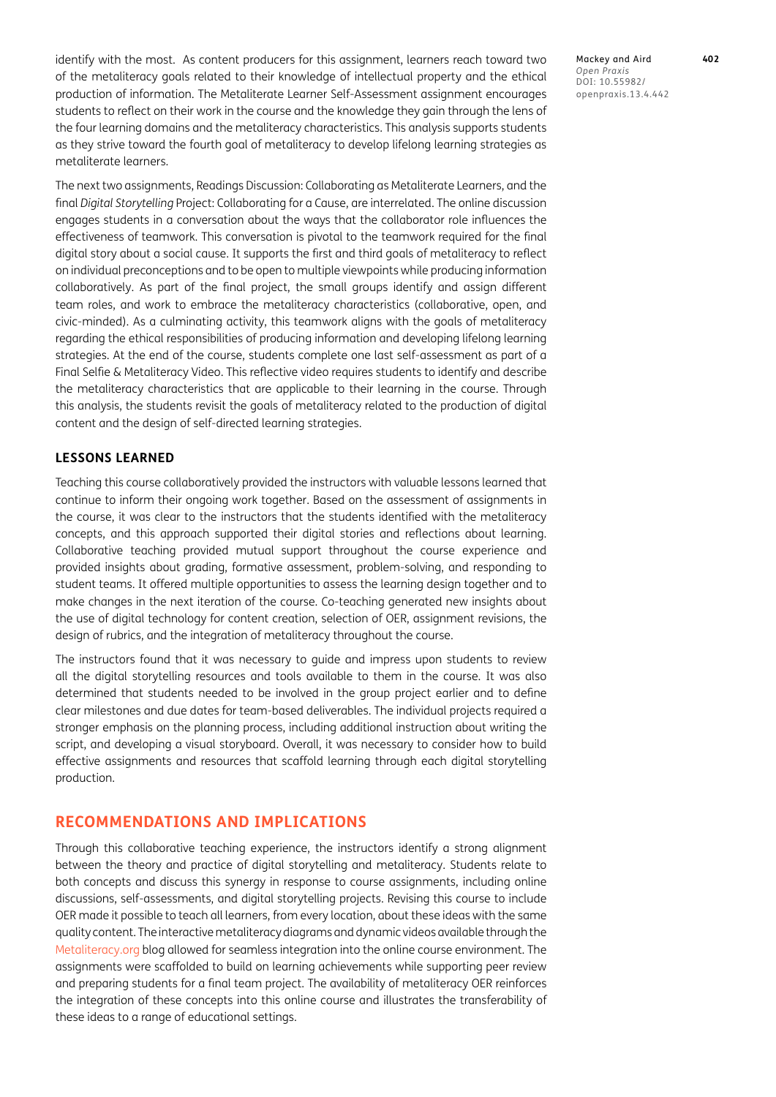identify with the most. As content producers for this assignment, learners reach toward two of the metaliteracy goals related to their knowledge of intellectual property and the ethical production of information. The Metaliterate Learner Self-Assessment assignment encourages students to reflect on their work in the course and the knowledge they gain through the lens of the four learning domains and the metaliteracy characteristics. This analysis supports students as they strive toward the fourth goal of metaliteracy to develop lifelong learning strategies as metaliterate learners.

The next two assignments, Readings Discussion: Collaborating as Metaliterate Learners, and the final *Digital Storytelling* Project: Collaborating for a Cause, are interrelated. The online discussion engages students in a conversation about the ways that the collaborator role influences the effectiveness of teamwork. This conversation is pivotal to the teamwork required for the final digital story about a social cause. It supports the first and third goals of metaliteracy to reflect on individual preconceptions and to be open to multiple viewpoints while producing information collaboratively. As part of the final project, the small groups identify and assign different team roles, and work to embrace the metaliteracy characteristics (collaborative, open, and civic-minded). As a culminating activity, this teamwork aligns with the goals of metaliteracy regarding the ethical responsibilities of producing information and developing lifelong learning strategies. At the end of the course, students complete one last self-assessment as part of a Final Selfie & Metaliteracy Video. This reflective video requires students to identify and describe the metaliteracy characteristics that are applicable to their learning in the course. Through this analysis, the students revisit the goals of metaliteracy related to the production of digital content and the design of self-directed learning strategies.

#### **LESSONS LEARNED**

Teaching this course collaboratively provided the instructors with valuable lessons learned that continue to inform their ongoing work together. Based on the assessment of assignments in the course, it was clear to the instructors that the students identified with the metaliteracy concepts, and this approach supported their digital stories and reflections about learning. Collaborative teaching provided mutual support throughout the course experience and provided insights about grading, formative assessment, problem-solving, and responding to student teams. It offered multiple opportunities to assess the learning design together and to make changes in the next iteration of the course. Co-teaching generated new insights about the use of digital technology for content creation, selection of OER, assignment revisions, the design of rubrics, and the integration of metaliteracy throughout the course.

The instructors found that it was necessary to guide and impress upon students to review all the digital storytelling resources and tools available to them in the course. It was also determined that students needed to be involved in the group project earlier and to define clear milestones and due dates for team-based deliverables. The individual projects required a stronger emphasis on the planning process, including additional instruction about writing the script, and developing a visual storyboard. Overall, it was necessary to consider how to build effective assignments and resources that scaffold learning through each digital storytelling production.

## **RECOMMENDATIONS AND IMPLICATIONS**

Through this collaborative teaching experience, the instructors identify a strong alignment between the theory and practice of digital storytelling and metaliteracy. Students relate to both concepts and discuss this synergy in response to course assignments, including online discussions, self-assessments, and digital storytelling projects. Revising this course to include OER made it possible to teach all learners, from every location, about these ideas with the same quality content. The interactive metaliteracy diagrams and dynamic videos available through the [Metaliteracy.org](http://Metaliteracy.org) blog allowed for seamless integration into the online course environment. The assignments were scaffolded to build on learning achievements while supporting peer review and preparing students for a final team project. The availability of metaliteracy OER reinforces the integration of these concepts into this online course and illustrates the transferability of these ideas to a range of educational settings.